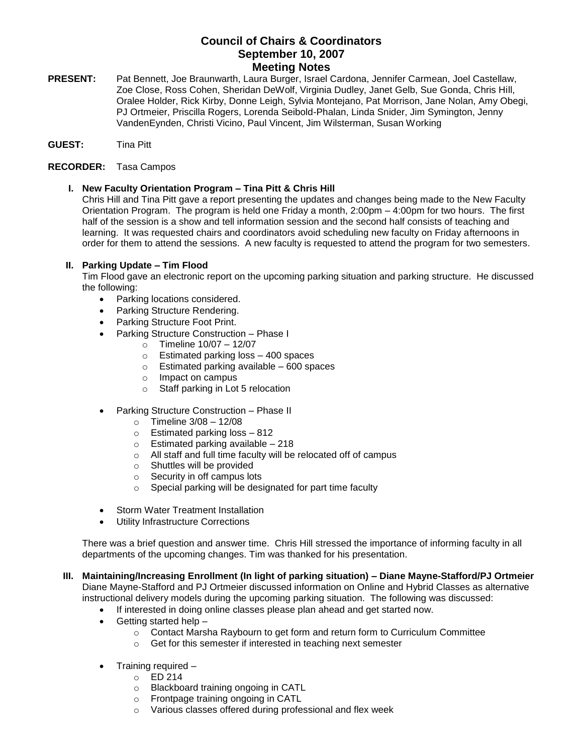# **Council of Chairs & Coordinators September 10, 2007 Meeting Notes**

**PRESENT:** Pat Bennett, Joe Braunwarth, Laura Burger, Israel Cardona, Jennifer Carmean, Joel Castellaw, Zoe Close, Ross Cohen, Sheridan DeWolf, Virginia Dudley, Janet Gelb, Sue Gonda, Chris Hill, Oralee Holder, Rick Kirby, Donne Leigh, Sylvia Montejano, Pat Morrison, Jane Nolan, Amy Obegi, PJ Ortmeier, Priscilla Rogers, Lorenda Seibold-Phalan, Linda Snider, Jim Symington, Jenny VandenEynden, Christi Vicino, Paul Vincent, Jim Wilsterman, Susan Working

# **GUEST:** Tina Pitt

## **RECORDER:** Tasa Campos

**I. New Faculty Orientation Program – Tina Pitt & Chris Hill**

Chris Hill and Tina Pitt gave a report presenting the updates and changes being made to the New Faculty Orientation Program. The program is held one Friday a month, 2:00pm – 4:00pm for two hours. The first half of the session is a show and tell information session and the second half consists of teaching and learning. It was requested chairs and coordinators avoid scheduling new faculty on Friday afternoons in order for them to attend the sessions. A new faculty is requested to attend the program for two semesters.

## **II. Parking Update – Tim Flood**

Tim Flood gave an electronic report on the upcoming parking situation and parking structure. He discussed the following:

- Parking locations considered.
- Parking Structure Rendering.
- Parking Structure Foot Print.
- Parking Structure Construction Phase I
	- $\circ$  Timeline 10/07 12/07
	- o Estimated parking loss 400 spaces
	- $\circ$  Estimated parking available 600 spaces
	- o Impact on campus
	- o Staff parking in Lot 5 relocation
- Parking Structure Construction Phase II
	- $\circ$  Timeline 3/08 12/08
	- o Estimated parking loss 812
	- $\circ$  Estimated parking available 218
	- o All staff and full time faculty will be relocated off of campus
	- o Shuttles will be provided
	- $\circ$  Security in off campus lots<br> $\circ$  Special parking will be des
	- Special parking will be designated for part time faculty
- Storm Water Treatment Installation
- Utility Infrastructure Corrections

There was a brief question and answer time. Chris Hill stressed the importance of informing faculty in all departments of the upcoming changes. Tim was thanked for his presentation.

#### **III. Maintaining/Increasing Enrollment (In light of parking situation) – Diane Mayne-Stafford/PJ Ortmeier**  Diane Mayne-Stafford and PJ Ortmeier discussed information on Online and Hybrid Classes as alternative instructional delivery models during the upcoming parking situation. The following was discussed:

- If interested in doing online classes please plan ahead and get started now.
- Getting started help
	- o Contact Marsha Raybourn to get form and return form to Curriculum Committee
	- o Get for this semester if interested in teaching next semester
- Training required
	- o ED 214
	- o Blackboard training ongoing in CATL
	- o Frontpage training ongoing in CATL
	- o Various classes offered during professional and flex week